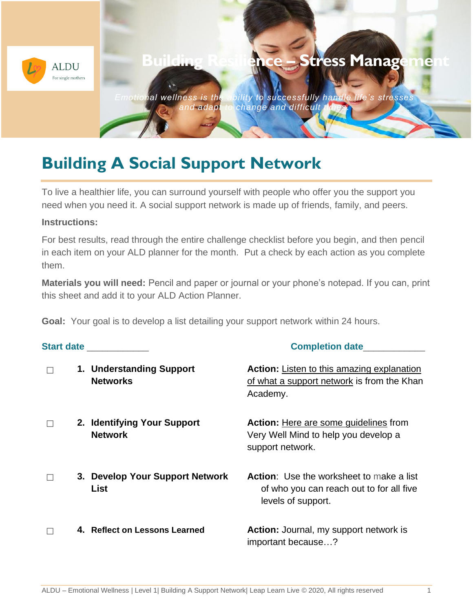

## **Building A Social Support Network**

To live a healthier life, you can surround yourself with people who offer you the support you need when you need it. A social support network is made up of friends, family, and peers.

## **Instructions:**

For best results, read through the entire challenge checklist before you begin, and then pencil in each item on your ALD planner for the month. Put a check by each action as you complete them.

**Materials you will need:** Pencil and paper or journal or your phone's notepad. If you can, print this sheet and add it to your ALD Action Planner.

**Goal:** Your goal is to develop a list detailing your support network within 24 hours.

| <b>Start date</b> and the state of the state of the state of the state of the state of the state of the state of the state of the state of the state of the state of the state of the state of the state of the state of the state |                                                | <b>Completion date</b>                                                                                            |  |
|------------------------------------------------------------------------------------------------------------------------------------------------------------------------------------------------------------------------------------|------------------------------------------------|-------------------------------------------------------------------------------------------------------------------|--|
|                                                                                                                                                                                                                                    | 1. Understanding Support<br><b>Networks</b>    | <b>Action:</b> Listen to this amazing explanation<br>of what a support network is from the Khan<br>Academy.       |  |
|                                                                                                                                                                                                                                    | 2. Identifying Your Support<br><b>Network</b>  | <b>Action:</b> Here are some guidelines from<br>Very Well Mind to help you develop a<br>support network.          |  |
|                                                                                                                                                                                                                                    | 3. Develop Your Support Network<br><b>List</b> | <b>Action:</b> Use the worksheet to make a list<br>of who you can reach out to for all five<br>levels of support. |  |
|                                                                                                                                                                                                                                    | 4. Reflect on Lessons Learned                  | Action: Journal, my support network is<br>important because?                                                      |  |